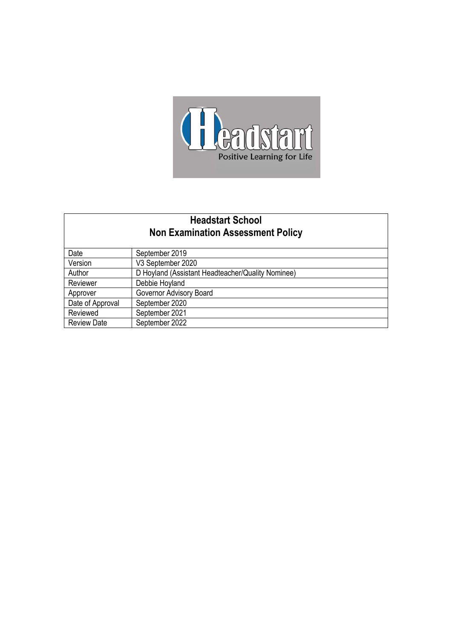

# **Headstart School Non Examination Assessment Policy**

| Date               | September 2019                                    |
|--------------------|---------------------------------------------------|
| Version            | V3 September 2020                                 |
| Author             | D Hoyland (Assistant Headteacher/Quality Nominee) |
| Reviewer           | Debbie Hoyland                                    |
| Approver           | Governor Advisory Board                           |
| Date of Approval   | September 2020                                    |
| Reviewed           | September 2021                                    |
| <b>Review Date</b> | September 2022                                    |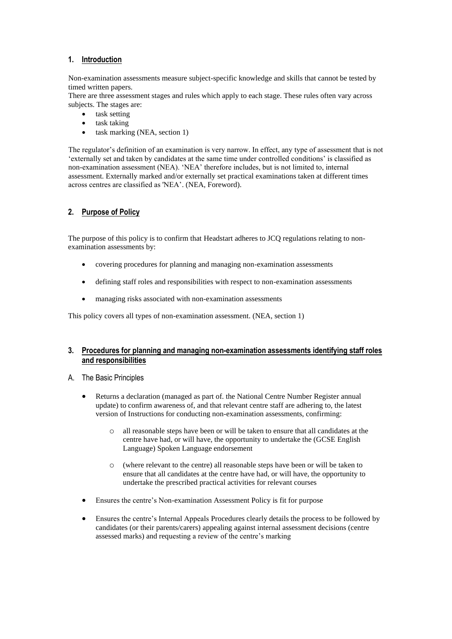## **1. Introduction**

Non-examination assessments measure subject-specific knowledge and skills that cannot be tested by timed written papers.

There are three assessment stages and rules which apply to each stage. These rules often vary across subjects. The stages are:

- task setting
- task taking
- task marking (NEA, section 1)

The regulator's definition of an examination is very narrow. In effect, any type of assessment that is not 'externally set and taken by candidates at the same time under controlled conditions' is classified as non-examination assessment (NEA). 'NEA' therefore includes, but is not limited to, internal assessment. Externally marked and/or externally set practical examinations taken at different times across centres are classified as 'NEA'. (NEA, Foreword).

## **2. Purpose of Policy**

The purpose of this policy is to confirm that Headstart adheres to JCQ regulations relating to nonexamination assessments by:

- covering procedures for planning and managing non-examination assessments
- defining staff roles and responsibilities with respect to non-examination assessments
- managing risks associated with non-examination assessments

This policy covers all types of non-examination assessment. (NEA, section 1)

## **3. Procedures for planning and managing non-examination assessments identifying staff roles and responsibilities**

#### A. The Basic Principles

- Returns a declaration (managed as part of. the National Centre Number Register annual update) to confirm awareness of, and that relevant centre staff are adhering to, the latest version of Instructions for conducting non-examination assessments, confirming:
	- o all reasonable steps have been or will be taken to ensure that all candidates at the centre have had, or will have, the opportunity to undertake the (GCSE English Language) Spoken Language endorsement
	- o (where relevant to the centre) all reasonable steps have been or will be taken to ensure that all candidates at the centre have had, or will have, the opportunity to undertake the prescribed practical activities for relevant courses
- Ensures the centre's Non-examination Assessment Policy is fit for purpose
- Ensures the centre's Internal Appeals Procedures clearly details the process to be followed by candidates (or their parents/carers) appealing against internal assessment decisions (centre assessed marks) and requesting a review of the centre's marking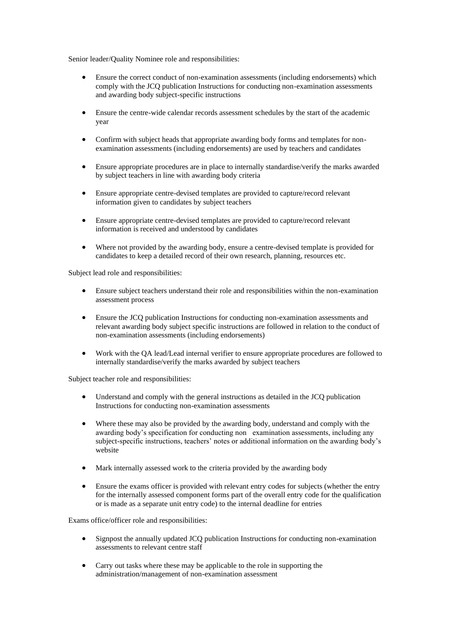Senior leader/Quality Nominee role and responsibilities:

- Ensure the correct conduct of non-examination assessments (including endorsements) which comply with the JCQ publication Instructions for conducting non-examination assessments and awarding body subject-specific instructions
- Ensure the centre-wide calendar records assessment schedules by the start of the academic year
- Confirm with subject heads that appropriate awarding body forms and templates for nonexamination assessments (including endorsements) are used by teachers and candidates
- Ensure appropriate procedures are in place to internally standardise/verify the marks awarded by subject teachers in line with awarding body criteria
- Ensure appropriate centre-devised templates are provided to capture/record relevant information given to candidates by subject teachers
- Ensure appropriate centre-devised templates are provided to capture/record relevant information is received and understood by candidates
- Where not provided by the awarding body, ensure a centre-devised template is provided for candidates to keep a detailed record of their own research, planning, resources etc.

Subject lead role and responsibilities:

- Ensure subject teachers understand their role and responsibilities within the non-examination assessment process
- Ensure the JCQ publication Instructions for conducting non-examination assessments and relevant awarding body subject specific instructions are followed in relation to the conduct of non-examination assessments (including endorsements)
- Work with the QA lead/Lead internal verifier to ensure appropriate procedures are followed to internally standardise/verify the marks awarded by subject teachers

Subject teacher role and responsibilities:

- Understand and comply with the general instructions as detailed in the JCQ publication Instructions for conducting non-examination assessments
- Where these may also be provided by the awarding body, understand and comply with the awarding body's specification for conducting non examination assessments, including any subject-specific instructions, teachers' notes or additional information on the awarding body's website
- Mark internally assessed work to the criteria provided by the awarding body
- Ensure the exams officer is provided with relevant entry codes for subjects (whether the entry for the internally assessed component forms part of the overall entry code for the qualification or is made as a separate unit entry code) to the internal deadline for entries

Exams office/officer role and responsibilities:

- Signpost the annually updated JCQ publication Instructions for conducting non-examination assessments to relevant centre staff
- Carry out tasks where these may be applicable to the role in supporting the administration/management of non-examination assessment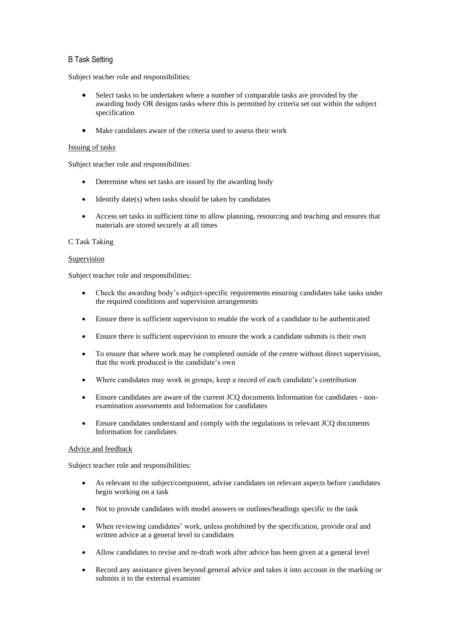## B Task Setting

Subject teacher role and responsibilities:

- Select tasks to be undertaken where a number of comparable tasks are provided by the awarding body OR designs tasks where this is permitted by criteria set out within the subject specification
- Make candidates aware of the criteria used to assess their work

#### Issuing of tasks

Subject teacher role and responsibilities:

- Determine when set tasks are issued by the awarding body
- Identify date(s) when tasks should be taken by candidates
- Access set tasks in sufficient time to allow planning, resourcing and teaching and ensures that materials are stored securely at all times

#### C Task Taking

#### Supervision

Subject teacher role and responsibilities:

- Check the awarding body's subject-specific requirements ensuring candidates take tasks under the required conditions and supervision arrangements
- Ensure there is sufficient supervision to enable the work of a candidate to be authenticated
- Ensure there is sufficient supervision to ensure the work a candidate submits is their own
- To ensure that where work may be completed outside of the centre without direct supervision, that the work produced is the candidate's own
- Where candidates may work in groups, keep a record of each candidate's contribution
- Ensure candidates are aware of the current JCQ documents Information for candidates nonexamination assessments and Information for candidates
- Ensure candidates understand and comply with the regulations in relevant JCQ documents Information for candidates

#### Advice and feedback

- As relevant to the subject/component, advise candidates on relevant aspects before candidates begin working on a task
- Not to provide candidates with model answers or outlines/headings specific to the task
- When reviewing candidates' work, unless prohibited by the specification, provide oral and written advice at a general level to candidates
- Allow candidates to revise and re-draft work after advice has been given at a general level
- Record any assistance given beyond general advice and takes it into account in the marking or submits it to the external examiner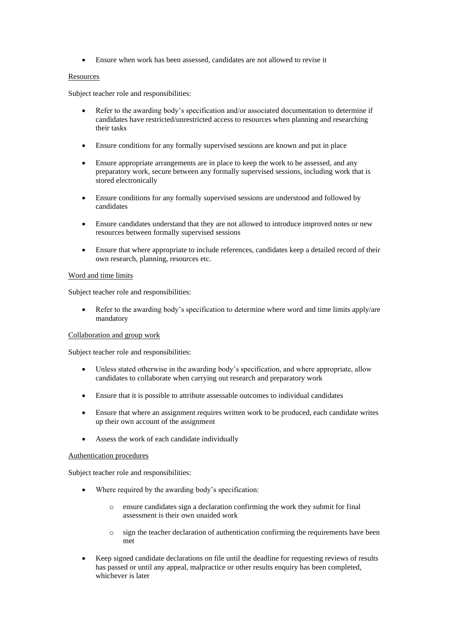• Ensure when work has been assessed, candidates are not allowed to revise it

#### **Resources**

Subject teacher role and responsibilities:

- Refer to the awarding body's specification and/or associated documentation to determine if candidates have restricted/unrestricted access to resources when planning and researching their tasks
- Ensure conditions for any formally supervised sessions are known and put in place
- Ensure appropriate arrangements are in place to keep the work to be assessed, and any preparatory work, secure between any formally supervised sessions, including work that is stored electronically
- Ensure conditions for any formally supervised sessions are understood and followed by candidates
- Ensure candidates understand that they are not allowed to introduce improved notes or new resources between formally supervised sessions
- Ensure that where appropriate to include references, candidates keep a detailed record of their own research, planning, resources etc.

## Word and time limits

Subject teacher role and responsibilities:

• Refer to the awarding body's specification to determine where word and time limits apply/are mandatory

#### Collaboration and group work

Subject teacher role and responsibilities:

- Unless stated otherwise in the awarding body's specification, and where appropriate, allow candidates to collaborate when carrying out research and preparatory work
- Ensure that it is possible to attribute assessable outcomes to individual candidates
- Ensure that where an assignment requires written work to be produced, each candidate writes up their own account of the assignment
- Assess the work of each candidate individually

#### Authentication procedures

- Where required by the awarding body's specification:
	- o ensure candidates sign a declaration confirming the work they submit for final assessment is their own unaided work
	- o sign the teacher declaration of authentication confirming the requirements have been met
- Keep signed candidate declarations on file until the deadline for requesting reviews of results has passed or until any appeal, malpractice or other results enquiry has been completed, whichever is later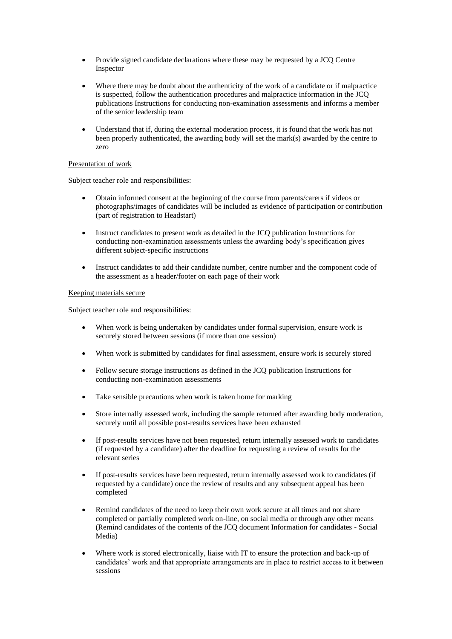- Provide signed candidate declarations where these may be requested by a JCQ Centre Inspector
- Where there may be doubt about the authenticity of the work of a candidate or if malpractice is suspected, follow the authentication procedures and malpractice information in the JCQ publications Instructions for conducting non-examination assessments and informs a member of the senior leadership team
- Understand that if, during the external moderation process, it is found that the work has not been properly authenticated, the awarding body will set the mark(s) awarded by the centre to zero

## Presentation of work

Subject teacher role and responsibilities:

- Obtain informed consent at the beginning of the course from parents/carers if videos or photographs/images of candidates will be included as evidence of participation or contribution (part of registration to Headstart)
- Instruct candidates to present work as detailed in the JCQ publication Instructions for conducting non-examination assessments unless the awarding body's specification gives different subject-specific instructions
- Instruct candidates to add their candidate number, centre number and the component code of the assessment as a header/footer on each page of their work

#### Keeping materials secure

- When work is being undertaken by candidates under formal supervision, ensure work is securely stored between sessions (if more than one session)
- When work is submitted by candidates for final assessment, ensure work is securely stored
- Follow secure storage instructions as defined in the JCQ publication Instructions for conducting non-examination assessments
- Take sensible precautions when work is taken home for marking
- Store internally assessed work, including the sample returned after awarding body moderation, securely until all possible post-results services have been exhausted
- If post-results services have not been requested, return internally assessed work to candidates (if requested by a candidate) after the deadline for requesting a review of results for the relevant series
- If post-results services have been requested, return internally assessed work to candidates (if requested by a candidate) once the review of results and any subsequent appeal has been completed
- Remind candidates of the need to keep their own work secure at all times and not share completed or partially completed work on-line, on social media or through any other means (Remind candidates of the contents of the JCQ document Information for candidates - Social Media)
- Where work is stored electronically, liaise with IT to ensure the protection and back-up of candidates' work and that appropriate arrangements are in place to restrict access to it between sessions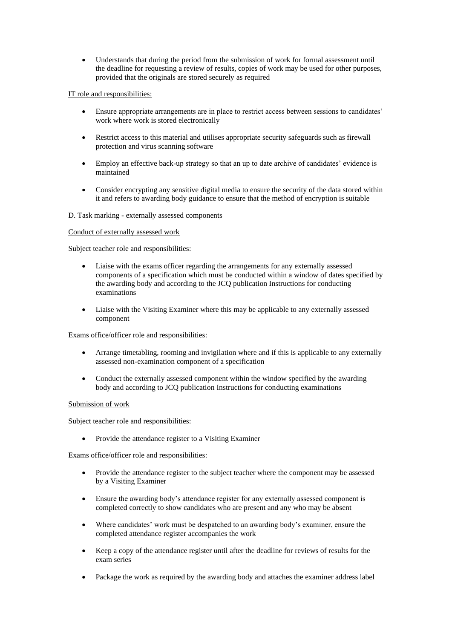• Understands that during the period from the submission of work for formal assessment until the deadline for requesting a review of results, copies of work may be used for other purposes, provided that the originals are stored securely as required

#### IT role and responsibilities:

- Ensure appropriate arrangements are in place to restrict access between sessions to candidates' work where work is stored electronically
- Restrict access to this material and utilises appropriate security safeguards such as firewall protection and virus scanning software
- Employ an effective back-up strategy so that an up to date archive of candidates' evidence is maintained
- Consider encrypting any sensitive digital media to ensure the security of the data stored within it and refers to awarding body guidance to ensure that the method of encryption is suitable

#### D. Task marking - externally assessed components

#### Conduct of externally assessed work

Subject teacher role and responsibilities:

- Liaise with the exams officer regarding the arrangements for any externally assessed components of a specification which must be conducted within a window of dates specified by the awarding body and according to the JCQ publication Instructions for conducting examinations
- Liaise with the Visiting Examiner where this may be applicable to any externally assessed component

Exams office/officer role and responsibilities:

- Arrange timetabling, rooming and invigilation where and if this is applicable to any externally assessed non-examination component of a specification
- Conduct the externally assessed component within the window specified by the awarding body and according to JCQ publication Instructions for conducting examinations

#### Submission of work

Subject teacher role and responsibilities:

• Provide the attendance register to a Visiting Examiner

Exams office/officer role and responsibilities:

- Provide the attendance register to the subject teacher where the component may be assessed by a Visiting Examiner
- Ensure the awarding body's attendance register for any externally assessed component is completed correctly to show candidates who are present and any who may be absent
- Where candidates' work must be despatched to an awarding body's examiner, ensure the completed attendance register accompanies the work
- Keep a copy of the attendance register until after the deadline for reviews of results for the exam series
- Package the work as required by the awarding body and attaches the examiner address label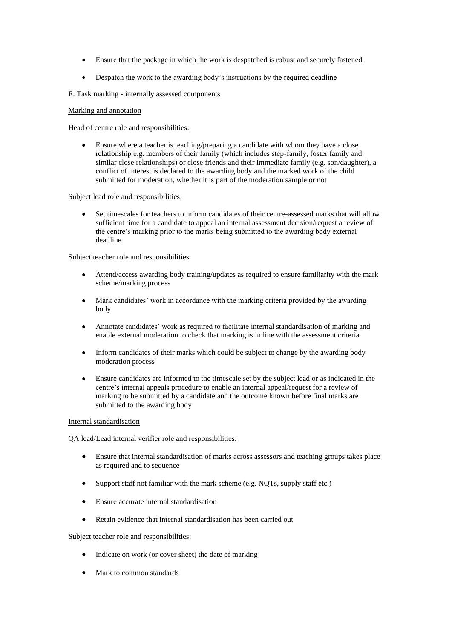- Ensure that the package in which the work is despatched is robust and securely fastened
- Despatch the work to the awarding body's instructions by the required deadline
- E. Task marking internally assessed components

#### Marking and annotation

Head of centre role and responsibilities:

• Ensure where a teacher is teaching/preparing a candidate with whom they have a close relationship e.g. members of their family (which includes step-family, foster family and similar close relationships) or close friends and their immediate family (e.g. son/daughter), a conflict of interest is declared to the awarding body and the marked work of the child submitted for moderation, whether it is part of the moderation sample or not

Subject lead role and responsibilities:

• Set timescales for teachers to inform candidates of their centre-assessed marks that will allow sufficient time for a candidate to appeal an internal assessment decision/request a review of the centre's marking prior to the marks being submitted to the awarding body external deadline

Subject teacher role and responsibilities:

- Attend/access awarding body training/updates as required to ensure familiarity with the mark scheme/marking process
- Mark candidates' work in accordance with the marking criteria provided by the awarding body
- Annotate candidates' work as required to facilitate internal standardisation of marking and enable external moderation to check that marking is in line with the assessment criteria
- Inform candidates of their marks which could be subject to change by the awarding body moderation process
- Ensure candidates are informed to the timescale set by the subject lead or as indicated in the centre's internal appeals procedure to enable an internal appeal/request for a review of marking to be submitted by a candidate and the outcome known before final marks are submitted to the awarding body

#### Internal standardisation

QA lead/Lead internal verifier role and responsibilities:

- Ensure that internal standardisation of marks across assessors and teaching groups takes place as required and to sequence
- Support staff not familiar with the mark scheme (e.g. NQTs, supply staff etc.)
- Ensure accurate internal standardisation
- Retain evidence that internal standardisation has been carried out

- Indicate on work (or cover sheet) the date of marking
- Mark to common standards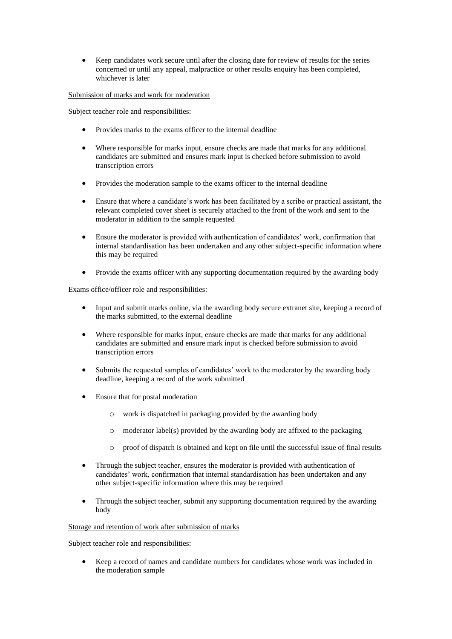• Keep candidates work secure until after the closing date for review of results for the series concerned or until any appeal, malpractice or other results enquiry has been completed, whichever is later

#### Submission of marks and work for moderation

Subject teacher role and responsibilities:

- Provides marks to the exams officer to the internal deadline
- Where responsible for marks input, ensure checks are made that marks for any additional candidates are submitted and ensures mark input is checked before submission to avoid transcription errors
- Provides the moderation sample to the exams officer to the internal deadline
- Ensure that where a candidate's work has been facilitated by a scribe or practical assistant, the relevant completed cover sheet is securely attached to the front of the work and sent to the moderator in addition to the sample requested
- Ensure the moderator is provided with authentication of candidates' work, confirmation that internal standardisation has been undertaken and any other subject-specific information where this may be required
- Provide the exams officer with any supporting documentation required by the awarding body

Exams office/officer role and responsibilities:

- Input and submit marks online, via the awarding body secure extranet site, keeping a record of the marks submitted, to the external deadline
- Where responsible for marks input, ensure checks are made that marks for any additional candidates are submitted and ensure mark input is checked before submission to avoid transcription errors
- Submits the requested samples of candidates' work to the moderator by the awarding body deadline, keeping a record of the work submitted
- Ensure that for postal moderation
	- o work is dispatched in packaging provided by the awarding body
	- $\circ$  moderator label(s) provided by the awarding body are affixed to the packaging
	- o proof of dispatch is obtained and kept on file until the successful issue of final results
- Through the subject teacher, ensures the moderator is provided with authentication of candidates' work, confirmation that internal standardisation has been undertaken and any other subject-specific information where this may be required
- Through the subject teacher, submit any supporting documentation required by the awarding body

#### Storage and retention of work after submission of marks

Subject teacher role and responsibilities:

• Keep a record of names and candidate numbers for candidates whose work was included in the moderation sample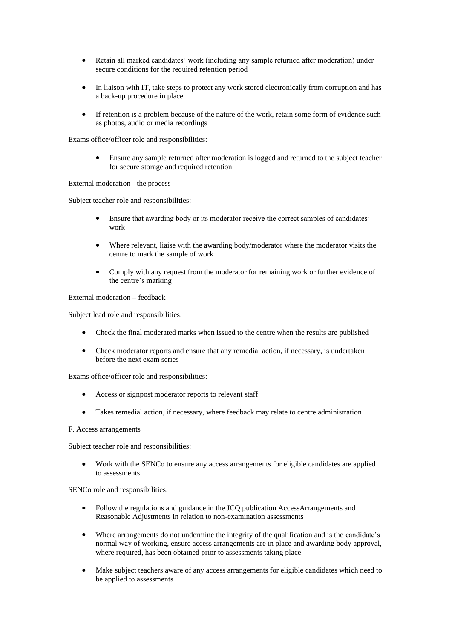- Retain all marked candidates' work (including any sample returned after moderation) under secure conditions for the required retention period
- In liaison with IT, take steps to protect any work stored electronically from corruption and has a back-up procedure in place
- If retention is a problem because of the nature of the work, retain some form of evidence such as photos, audio or media recordings

Exams office/officer role and responsibilities:

• Ensure any sample returned after moderation is logged and returned to the subject teacher for secure storage and required retention

#### External moderation - the process

Subject teacher role and responsibilities:

- Ensure that awarding body or its moderator receive the correct samples of candidates' work
- Where relevant, liaise with the awarding body/moderator where the moderator visits the centre to mark the sample of work
- Comply with any request from the moderator for remaining work or further evidence of the centre's marking

#### External moderation – feedback

Subject lead role and responsibilities:

- Check the final moderated marks when issued to the centre when the results are published
- Check moderator reports and ensure that any remedial action, if necessary, is undertaken before the next exam series

Exams office/officer role and responsibilities:

- Access or signpost moderator reports to relevant staff
- Takes remedial action, if necessary, where feedback may relate to centre administration

#### F. Access arrangements

Subject teacher role and responsibilities:

• Work with the SENCo to ensure any access arrangements for eligible candidates are applied to assessments

SENCo role and responsibilities:

- Follow the regulations and guidance in the JCQ publication AccessArrangements and Reasonable Adjustments in relation to non-examination assessments
- Where arrangements do not undermine the integrity of the qualification and is the candidate's normal way of working, ensure access arrangements are in place and awarding body approval, where required, has been obtained prior to assessments taking place
- Make subject teachers aware of any access arrangements for eligible candidates which need to be applied to assessments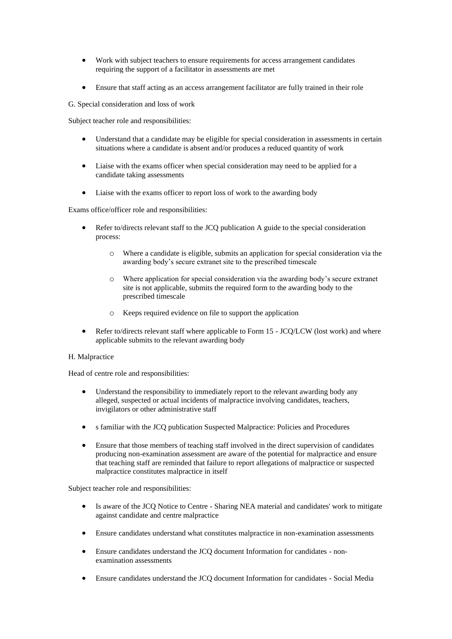- Work with subject teachers to ensure requirements for access arrangement candidates requiring the support of a facilitator in assessments are met
- Ensure that staff acting as an access arrangement facilitator are fully trained in their role

G. Special consideration and loss of work

Subject teacher role and responsibilities:

- Understand that a candidate may be eligible for special consideration in assessments in certain situations where a candidate is absent and/or produces a reduced quantity of work
- Liaise with the exams officer when special consideration may need to be applied for a candidate taking assessments
- Liaise with the exams officer to report loss of work to the awarding body

Exams office/officer role and responsibilities:

- Refer to/directs relevant staff to the JCQ publication A guide to the special consideration process:
	- o Where a candidate is eligible, submits an application for special consideration via the awarding body's secure extranet site to the prescribed timescale
	- $\circ$  Where application for special consideration via the awarding body's secure extranet site is not applicable, submits the required form to the awarding body to the prescribed timescale
	- o Keeps required evidence on file to support the application
- Refer to/directs relevant staff where applicable to Form 15 JCQ/LCW (lost work) and where applicable submits to the relevant awarding body

#### H. Malpractice

Head of centre role and responsibilities:

- Understand the responsibility to immediately report to the relevant awarding body any alleged, suspected or actual incidents of malpractice involving candidates, teachers, invigilators or other administrative staff
- s familiar with the JCQ publication Suspected Malpractice: Policies and Procedures
- Ensure that those members of teaching staff involved in the direct supervision of candidates producing non-examination assessment are aware of the potential for malpractice and ensure that teaching staff are reminded that failure to report allegations of malpractice or suspected malpractice constitutes malpractice in itself

- Is aware of the JCQ Notice to Centre Sharing NEA material and candidates' work to mitigate against candidate and centre malpractice
- Ensure candidates understand what constitutes malpractice in non-examination assessments
- Ensure candidates understand the JCQ document Information for candidates nonexamination assessments
- Ensure candidates understand the JCQ document Information for candidates Social Media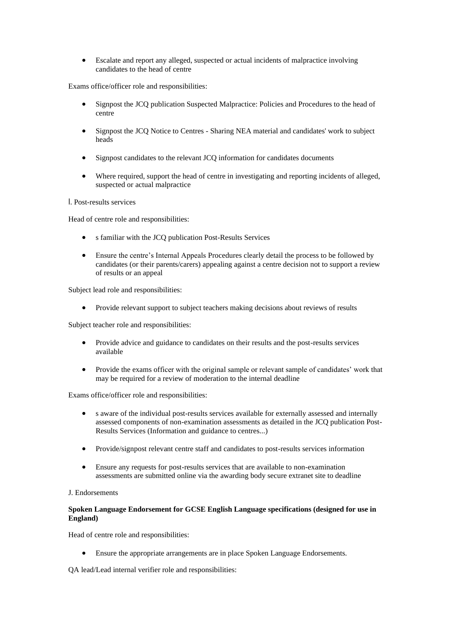• Escalate and report any alleged, suspected or actual incidents of malpractice involving candidates to the head of centre

Exams office/officer role and responsibilities:

- Signpost the JCQ publication Suspected Malpractice: Policies and Procedures to the head of centre
- Signpost the JCQ Notice to Centres Sharing NEA material and candidates' work to subject heads
- Signpost candidates to the relevant JCQ information for candidates documents
- Where required, support the head of centre in investigating and reporting incidents of alleged, suspected or actual malpractice

I. Post-results services

Head of centre role and responsibilities:

- s familiar with the JCQ publication Post-Results Services
- Ensure the centre's Internal Appeals Procedures clearly detail the process to be followed by candidates (or their parents/carers) appealing against a centre decision not to support a review of results or an appeal

Subject lead role and responsibilities:

• Provide relevant support to subject teachers making decisions about reviews of results

Subject teacher role and responsibilities:

- Provide advice and guidance to candidates on their results and the post-results services available
- Provide the exams officer with the original sample or relevant sample of candidates' work that may be required for a review of moderation to the internal deadline

Exams office/officer role and responsibilities:

- s aware of the individual post-results services available for externally assessed and internally assessed components of non-examination assessments as detailed in the JCQ publication Post-Results Services (Information and guidance to centres...)
- Provide/signpost relevant centre staff and candidates to post-results services information
- Ensure any requests for post-results services that are available to non-examination assessments are submitted online via the awarding body secure extranet site to deadline

#### J. Endorsements

#### **Spoken Language Endorsement for GCSE English Language specifications (designed for use in England)**

Head of centre role and responsibilities:

• Ensure the appropriate arrangements are in place Spoken Language Endorsements.

QA lead/Lead internal verifier role and responsibilities: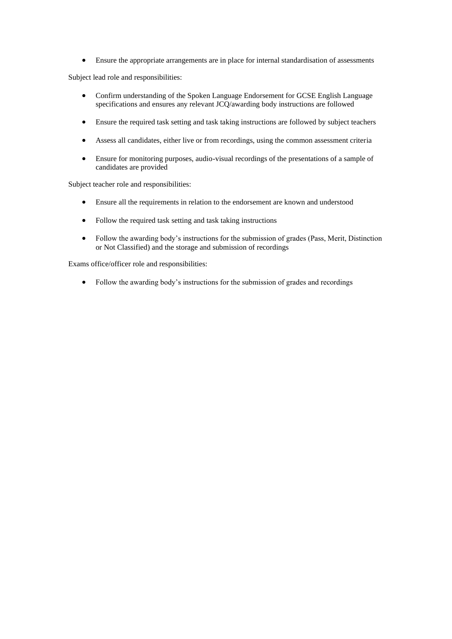• Ensure the appropriate arrangements are in place for internal standardisation of assessments

Subject lead role and responsibilities:

- Confirm understanding of the Spoken Language Endorsement for GCSE English Language specifications and ensures any relevant JCQ/awarding body instructions are followed
- Ensure the required task setting and task taking instructions are followed by subject teachers
- Assess all candidates, either live or from recordings, using the common assessment criteria
- Ensure for monitoring purposes, audio-visual recordings of the presentations of a sample of candidates are provided

Subject teacher role and responsibilities:

- Ensure all the requirements in relation to the endorsement are known and understood
- Follow the required task setting and task taking instructions
- Follow the awarding body's instructions for the submission of grades (Pass, Merit, Distinction or Not Classified) and the storage and submission of recordings

Exams office/officer role and responsibilities:

• Follow the awarding body's instructions for the submission of grades and recordings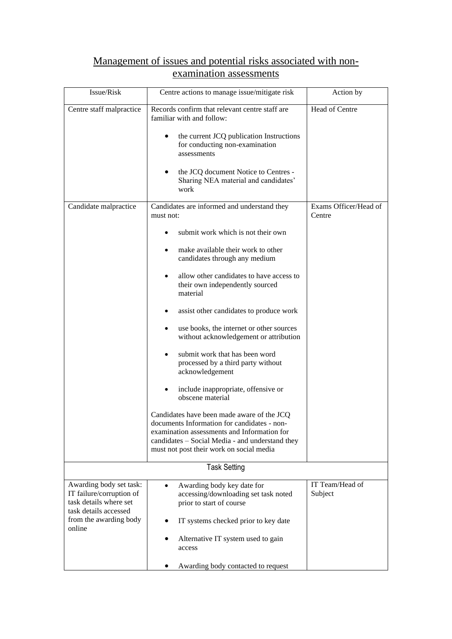## Management of issues and potential risks associated with nonexamination assessments

| Issue/Risk                                                                                             | Centre actions to manage issue/mitigate risk                                                                                                                                                                                            | Action by                       |
|--------------------------------------------------------------------------------------------------------|-----------------------------------------------------------------------------------------------------------------------------------------------------------------------------------------------------------------------------------------|---------------------------------|
| Centre staff malpractice                                                                               | Records confirm that relevant centre staff are<br>familiar with and follow:                                                                                                                                                             | Head of Centre                  |
|                                                                                                        | the current JCQ publication Instructions<br>for conducting non-examination<br>assessments                                                                                                                                               |                                 |
|                                                                                                        | the JCQ document Notice to Centres -<br>$\bullet$<br>Sharing NEA material and candidates'<br>work                                                                                                                                       |                                 |
| Candidate malpractice                                                                                  | Candidates are informed and understand they<br>must not:                                                                                                                                                                                | Exams Officer/Head of<br>Centre |
|                                                                                                        | submit work which is not their own                                                                                                                                                                                                      |                                 |
|                                                                                                        | make available their work to other<br>candidates through any medium                                                                                                                                                                     |                                 |
|                                                                                                        | allow other candidates to have access to<br>their own independently sourced<br>material                                                                                                                                                 |                                 |
|                                                                                                        | assist other candidates to produce work                                                                                                                                                                                                 |                                 |
|                                                                                                        | use books, the internet or other sources<br>without acknowledgement or attribution                                                                                                                                                      |                                 |
|                                                                                                        | submit work that has been word<br>processed by a third party without<br>acknowledgement                                                                                                                                                 |                                 |
|                                                                                                        | include inappropriate, offensive or<br>obscene material                                                                                                                                                                                 |                                 |
|                                                                                                        | Candidates have been made aware of the JCQ<br>documents Information for candidates - non-<br>examination assessments and Information for<br>candidates - Social Media - and understand they<br>must not post their work on social media |                                 |
|                                                                                                        | <b>Task Setting</b>                                                                                                                                                                                                                     |                                 |
| Awarding body set task:<br>IT failure/corruption of<br>task details where set<br>task details accessed | Awarding body key date for<br>$\bullet$<br>accessing/downloading set task noted<br>prior to start of course                                                                                                                             | IT Team/Head of<br>Subject      |
| from the awarding body<br>online                                                                       | IT systems checked prior to key date                                                                                                                                                                                                    |                                 |
|                                                                                                        | Alternative IT system used to gain<br>access                                                                                                                                                                                            |                                 |
|                                                                                                        | Awarding body contacted to request                                                                                                                                                                                                      |                                 |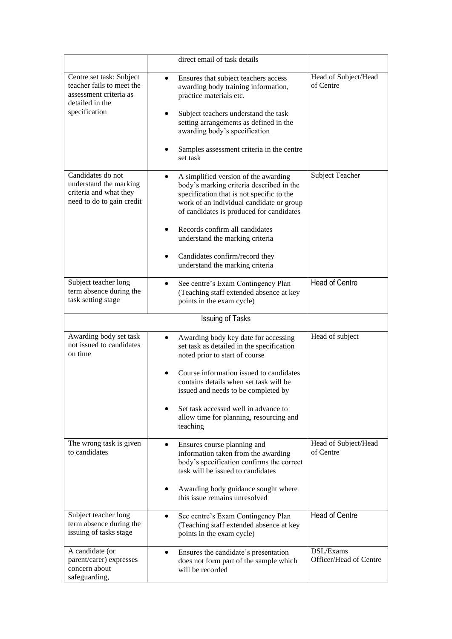|                                                                                                                     | direct email of task details                                                                                                                                                                                                                                                                                                                                    |                                     |
|---------------------------------------------------------------------------------------------------------------------|-----------------------------------------------------------------------------------------------------------------------------------------------------------------------------------------------------------------------------------------------------------------------------------------------------------------------------------------------------------------|-------------------------------------|
| Centre set task: Subject<br>teacher fails to meet the<br>assessment criteria as<br>detailed in the<br>specification | Ensures that subject teachers access<br>awarding body training information,<br>practice materials etc.<br>Subject teachers understand the task<br>setting arrangements as defined in the<br>awarding body's specification<br>Samples assessment criteria in the centre<br>set task                                                                              | Head of Subject/Head<br>of Centre   |
| Candidates do not<br>understand the marking<br>criteria and what they<br>need to do to gain credit                  | A simplified version of the awarding<br>body's marking criteria described in the<br>specification that is not specific to the<br>work of an individual candidate or group<br>of candidates is produced for candidates<br>Records confirm all candidates<br>understand the marking criteria<br>Candidates confirm/record they<br>understand the marking criteria | Subject Teacher                     |
| Subject teacher long<br>term absence during the<br>task setting stage                                               | See centre's Exam Contingency Plan<br>$\bullet$<br>(Teaching staff extended absence at key<br>points in the exam cycle)                                                                                                                                                                                                                                         | <b>Head of Centre</b>               |
|                                                                                                                     | <b>Issuing of Tasks</b>                                                                                                                                                                                                                                                                                                                                         |                                     |
| Awarding body set task<br>not issued to candidates<br>on time                                                       | Awarding body key date for accessing<br>set task as detailed in the specification<br>noted prior to start of course<br>Course information issued to candidates<br>contains details when set task will be<br>issued and needs to be completed by<br>Set task accessed well in advance to<br>allow time for planning, resourcing and<br>teaching                  | Head of subject                     |
| The wrong task is given<br>to candidates                                                                            | Ensures course planning and<br>$\bullet$<br>information taken from the awarding<br>body's specification confirms the correct<br>task will be issued to candidates<br>Awarding body guidance sought where<br>this issue remains unresolved                                                                                                                       | Head of Subject/Head<br>of Centre   |
| Subject teacher long<br>term absence during the<br>issuing of tasks stage                                           | See centre's Exam Contingency Plan<br>$\bullet$<br>(Teaching staff extended absence at key<br>points in the exam cycle)                                                                                                                                                                                                                                         | <b>Head of Centre</b>               |
| A candidate (or<br>parent/carer) expresses<br>concern about<br>safeguarding,                                        | Ensures the candidate's presentation<br>$\bullet$<br>does not form part of the sample which<br>will be recorded                                                                                                                                                                                                                                                 | DSL/Exams<br>Officer/Head of Centre |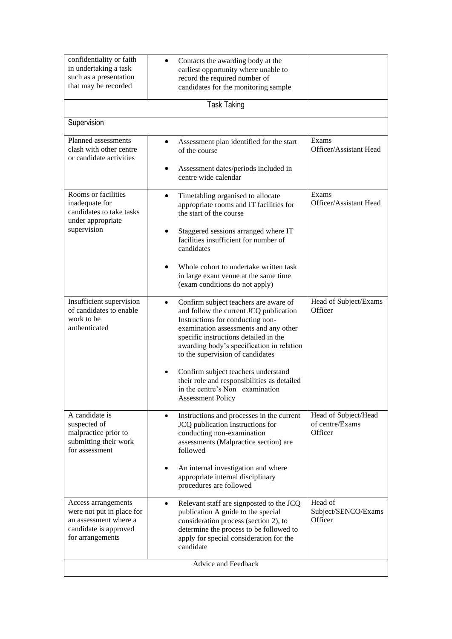| confidentiality or faith<br>in undertaking a task<br>such as a presentation<br>that may be recorded                    | Contacts the awarding body at the<br>earliest opportunity where unable to<br>record the required number of<br>candidates for the monitoring sample                                                                                                                                                                                                                                                                                                       |                                                    |
|------------------------------------------------------------------------------------------------------------------------|----------------------------------------------------------------------------------------------------------------------------------------------------------------------------------------------------------------------------------------------------------------------------------------------------------------------------------------------------------------------------------------------------------------------------------------------------------|----------------------------------------------------|
|                                                                                                                        | <b>Task Taking</b>                                                                                                                                                                                                                                                                                                                                                                                                                                       |                                                    |
| Supervision                                                                                                            |                                                                                                                                                                                                                                                                                                                                                                                                                                                          |                                                    |
| Planned assessments<br>clash with other centre<br>or candidate activities                                              | Assessment plan identified for the start<br>of the course<br>Assessment dates/periods included in<br>centre wide calendar                                                                                                                                                                                                                                                                                                                                | Exams<br>Officer/Assistant Head                    |
| Rooms or facilities<br>inadequate for<br>candidates to take tasks<br>under appropriate<br>supervision                  | Timetabling organised to allocate<br>$\bullet$<br>appropriate rooms and IT facilities for<br>the start of the course<br>Staggered sessions arranged where IT<br>facilities insufficient for number of<br>candidates<br>Whole cohort to undertake written task<br>in large exam venue at the same time<br>(exam conditions do not apply)                                                                                                                  | Exams<br>Officer/Assistant Head                    |
| Insufficient supervision<br>of candidates to enable<br>work to be<br>authenticated                                     | Confirm subject teachers are aware of<br>$\bullet$<br>and follow the current JCQ publication<br>Instructions for conducting non-<br>examination assessments and any other<br>specific instructions detailed in the<br>awarding body's specification in relation<br>to the supervision of candidates<br>Confirm subject teachers understand<br>their role and responsibilities as detailed<br>in the centre's Non examination<br><b>Assessment Policy</b> | Head of Subject/Exams<br>Officer                   |
| A candidate is<br>suspected of<br>malpractice prior to<br>submitting their work<br>for assessment                      | Instructions and processes in the current<br>$\bullet$<br>JCQ publication Instructions for<br>conducting non-examination<br>assessments (Malpractice section) are<br>followed<br>An internal investigation and where<br>appropriate internal disciplinary<br>procedures are followed                                                                                                                                                                     | Head of Subject/Head<br>of centre/Exams<br>Officer |
| Access arrangements<br>were not put in place for<br>an assessment where a<br>candidate is approved<br>for arrangements | Relevant staff are signposted to the JCQ<br>$\bullet$<br>publication A guide to the special<br>consideration process (section 2), to<br>determine the process to be followed to<br>apply for special consideration for the<br>candidate                                                                                                                                                                                                                  | Head of<br>Subject/SENCO/Exams<br>Officer          |
| Advice and Feedback                                                                                                    |                                                                                                                                                                                                                                                                                                                                                                                                                                                          |                                                    |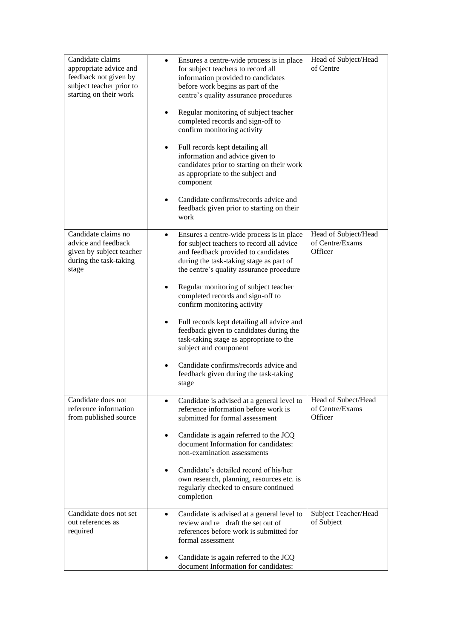| Candidate claims<br>appropriate advice and<br>feedback not given by<br>subject teacher prior to<br>starting on their work | Ensures a centre-wide process is in place<br>$\bullet$<br>for subject teachers to record all<br>information provided to candidates<br>before work begins as part of the<br>centre's quality assurance procedures<br>Regular monitoring of subject teacher<br>completed records and sign-off to<br>confirm monitoring activity<br>Full records kept detailing all<br>٠<br>information and advice given to<br>candidates prior to starting on their work<br>as appropriate to the subject and<br>component<br>Candidate confirms/records advice and<br>feedback given prior to starting on their<br>work | Head of Subject/Head<br>of Centre                  |
|---------------------------------------------------------------------------------------------------------------------------|--------------------------------------------------------------------------------------------------------------------------------------------------------------------------------------------------------------------------------------------------------------------------------------------------------------------------------------------------------------------------------------------------------------------------------------------------------------------------------------------------------------------------------------------------------------------------------------------------------|----------------------------------------------------|
| Candidate claims no<br>advice and feedback<br>given by subject teacher<br>during the task-taking<br>stage                 | Ensures a centre-wide process is in place<br>for subject teachers to record all advice<br>and feedback provided to candidates<br>during the task-taking stage as part of<br>the centre's quality assurance procedure<br>Regular monitoring of subject teacher<br>completed records and sign-off to<br>confirm monitoring activity<br>Full records kept detailing all advice and<br>feedback given to candidates during the<br>task-taking stage as appropriate to the<br>subject and component<br>Candidate confirms/records advice and<br>feedback given during the task-taking<br>stage              | Head of Subject/Head<br>of Centre/Exams<br>Officer |
| Candidate does not<br>reference information<br>from published source                                                      | Candidate is advised at a general level to<br>٠<br>reference information before work is<br>submitted for formal assessment<br>Candidate is again referred to the JCQ<br>٠<br>document Information for candidates:<br>non-examination assessments<br>Candidate's detailed record of his/her<br>٠<br>own research, planning, resources etc. is<br>regularly checked to ensure continued<br>completion                                                                                                                                                                                                    | Head of Subect/Head<br>of Centre/Exams<br>Officer  |
| Candidate does not set<br>out references as<br>required                                                                   | Candidate is advised at a general level to<br>$\bullet$<br>review and re draft the set out of<br>references before work is submitted for<br>formal assessment<br>Candidate is again referred to the JCQ<br>document Information for candidates:                                                                                                                                                                                                                                                                                                                                                        | Subject Teacher/Head<br>of Subject                 |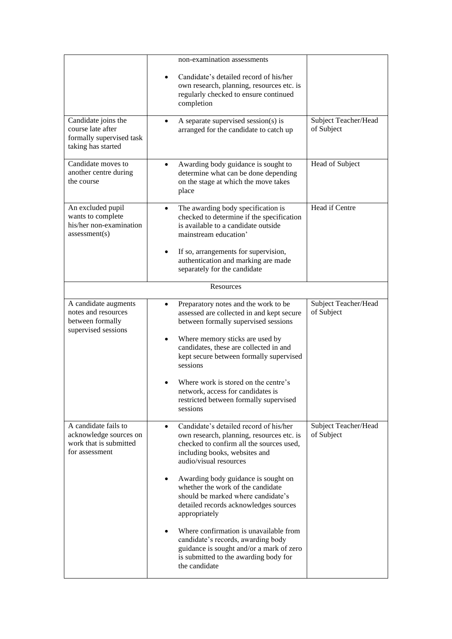|                                                                                            | non-examination assessments                                                                                                                                                                                                                 |                                    |
|--------------------------------------------------------------------------------------------|---------------------------------------------------------------------------------------------------------------------------------------------------------------------------------------------------------------------------------------------|------------------------------------|
|                                                                                            | Candidate's detailed record of his/her<br>own research, planning, resources etc. is<br>regularly checked to ensure continued<br>completion                                                                                                  |                                    |
| Candidate joins the<br>course late after<br>formally supervised task<br>taking has started | A separate supervised session(s) is<br>arranged for the candidate to catch up                                                                                                                                                               | Subject Teacher/Head<br>of Subject |
| Candidate moves to<br>another centre during<br>the course                                  | Awarding body guidance is sought to<br>determine what can be done depending<br>on the stage at which the move takes<br>place                                                                                                                | Head of Subject                    |
| An excluded pupil<br>wants to complete<br>his/her non-examination<br>assessment(s)         | The awarding body specification is<br>$\bullet$<br>checked to determine if the specification<br>is available to a candidate outside<br>mainstream education'<br>If so, arrangements for supervision,<br>authentication and marking are made | Head if Centre                     |
|                                                                                            | separately for the candidate                                                                                                                                                                                                                |                                    |
|                                                                                            | Resources                                                                                                                                                                                                                                   |                                    |
| A candidate augments<br>notes and resources<br>between formally<br>supervised sessions     | Preparatory notes and the work to be<br>assessed are collected in and kept secure<br>between formally supervised sessions                                                                                                                   | Subject Teacher/Head<br>of Subject |
|                                                                                            | Where memory sticks are used by<br>candidates, these are collected in and<br>kept secure between formally supervised<br>sessions                                                                                                            |                                    |
|                                                                                            | Where work is stored on the centre's<br>network, access for candidates is<br>restricted between formally supervised<br>sessions                                                                                                             |                                    |
| A candidate fails to<br>acknowledge sources on<br>work that is submitted<br>for assessment | Candidate's detailed record of his/her<br>$\bullet$<br>own research, planning, resources etc. is<br>checked to confirm all the sources used,<br>including books, websites and<br>audio/visual resources                                     | Subject Teacher/Head<br>of Subject |
|                                                                                            | Awarding body guidance is sought on<br>whether the work of the candidate<br>should be marked where candidate's<br>detailed records acknowledges sources<br>appropriately                                                                    |                                    |
|                                                                                            | Where confirmation is unavailable from<br>candidate's records, awarding body<br>guidance is sought and/or a mark of zero<br>is submitted to the awarding body for<br>the candidate                                                          |                                    |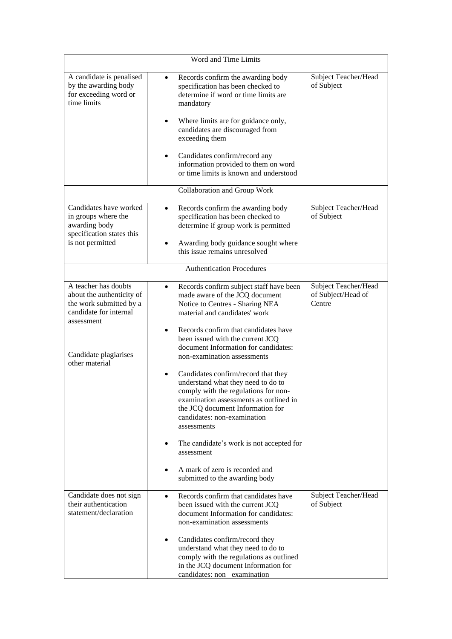| Word and Time Limits                                                                                                                                            |                                                                                                                                                                                                                                                                                                                                                                                                                                                                                                                                                                                                                                                                                                                        |                                                      |  |
|-----------------------------------------------------------------------------------------------------------------------------------------------------------------|------------------------------------------------------------------------------------------------------------------------------------------------------------------------------------------------------------------------------------------------------------------------------------------------------------------------------------------------------------------------------------------------------------------------------------------------------------------------------------------------------------------------------------------------------------------------------------------------------------------------------------------------------------------------------------------------------------------------|------------------------------------------------------|--|
| A candidate is penalised<br>by the awarding body<br>for exceeding word or<br>time limits                                                                        | Records confirm the awarding body<br>$\bullet$<br>specification has been checked to<br>determine if word or time limits are<br>mandatory<br>Where limits are for guidance only,<br>candidates are discouraged from<br>exceeding them<br>Candidates confirm/record any<br>$\bullet$<br>information provided to them on word<br>or time limits is known and understood                                                                                                                                                                                                                                                                                                                                                   | Subject Teacher/Head<br>of Subject                   |  |
|                                                                                                                                                                 | Collaboration and Group Work                                                                                                                                                                                                                                                                                                                                                                                                                                                                                                                                                                                                                                                                                           |                                                      |  |
| Candidates have worked<br>in groups where the<br>awarding body<br>specification states this<br>is not permitted                                                 | Records confirm the awarding body<br>specification has been checked to<br>determine if group work is permitted<br>Awarding body guidance sought where<br>this issue remains unresolved                                                                                                                                                                                                                                                                                                                                                                                                                                                                                                                                 | Subject Teacher/Head<br>of Subject                   |  |
|                                                                                                                                                                 | <b>Authentication Procedures</b>                                                                                                                                                                                                                                                                                                                                                                                                                                                                                                                                                                                                                                                                                       |                                                      |  |
| A teacher has doubts<br>about the authenticity of<br>the work submitted by a<br>candidate for internal<br>assessment<br>Candidate plagiarises<br>other material | Records confirm subject staff have been<br>$\bullet$<br>made aware of the JCQ document<br>Notice to Centres - Sharing NEA<br>material and candidates' work<br>Records confirm that candidates have<br>$\bullet$<br>been issued with the current JCQ<br>document Information for candidates:<br>non-examination assessments<br>Candidates confirm/record that they<br>understand what they need to do to<br>comply with the regulations for non-<br>examination assessments as outlined in<br>the JCQ document Information for<br>candidates: non-examination<br>assessments<br>The candidate's work is not accepted for<br>$\bullet$<br>assessment<br>A mark of zero is recorded and<br>submitted to the awarding body | Subject Teacher/Head<br>of Subject/Head of<br>Centre |  |
| Candidate does not sign<br>their authentication<br>statement/declaration                                                                                        | Records confirm that candidates have<br>$\bullet$<br>been issued with the current JCQ<br>document Information for candidates:<br>non-examination assessments<br>Candidates confirm/record they<br>understand what they need to do to<br>comply with the regulations as outlined<br>in the JCQ document Information for<br>candidates: non examination                                                                                                                                                                                                                                                                                                                                                                  | Subject Teacher/Head<br>of Subject                   |  |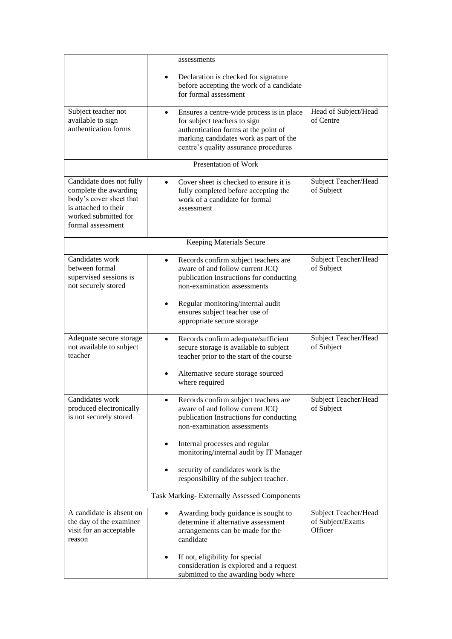|                                                                                                                                                   | assessments                                                                                                                                                                                                       |                                                     |
|---------------------------------------------------------------------------------------------------------------------------------------------------|-------------------------------------------------------------------------------------------------------------------------------------------------------------------------------------------------------------------|-----------------------------------------------------|
|                                                                                                                                                   | Declaration is checked for signature<br>before accepting the work of a candidate<br>for formal assessment                                                                                                         |                                                     |
| Subject teacher not<br>available to sign<br>authentication forms                                                                                  | Ensures a centre-wide process is in place<br>$\bullet$<br>for subject teachers to sign<br>authentication forms at the point of<br>marking candidates work as part of the<br>centre's quality assurance procedures | Head of Subject/Head<br>of Centre                   |
|                                                                                                                                                   | Presentation of Work                                                                                                                                                                                              |                                                     |
| Candidate does not fully<br>complete the awarding<br>body's cover sheet that<br>is attached to their<br>worked submitted for<br>formal assessment | Cover sheet is checked to ensure it is<br>fully completed before accepting the<br>work of a candidate for formal<br>assessment                                                                                    | Subject Teacher/Head<br>of Subject                  |
|                                                                                                                                                   | Keeping Materials Secure                                                                                                                                                                                          |                                                     |
| Candidates work<br>between formal<br>supervised sessions is<br>not securely stored                                                                | Records confirm subject teachers are<br>aware of and follow current JCQ<br>publication Instructions for conducting<br>non-examination assessments                                                                 | Subject Teacher/Head<br>of Subject                  |
|                                                                                                                                                   | Regular monitoring/internal audit<br>ensures subject teacher use of<br>appropriate secure storage                                                                                                                 |                                                     |
| Adequate secure storage<br>not available to subject<br>teacher                                                                                    | Records confirm adequate/sufficient<br>$\bullet$<br>secure storage is available to subject<br>teacher prior to the start of the course                                                                            | Subject Teacher/Head<br>of Subject                  |
|                                                                                                                                                   | Alternative secure storage sourced<br>where required                                                                                                                                                              |                                                     |
| Candidates work<br>produced electronically<br>is not securely stored                                                                              | Records confirm subject teachers are<br>aware of and follow current JCQ<br>publication Instructions for conducting<br>non-examination assessments                                                                 | Subject Teacher/Head<br>of Subject                  |
|                                                                                                                                                   | Internal processes and regular<br>monitoring/internal audit by IT Manager                                                                                                                                         |                                                     |
|                                                                                                                                                   | security of candidates work is the<br>responsibility of the subject teacher.                                                                                                                                      |                                                     |
|                                                                                                                                                   | Task Marking-Externally Assessed Components                                                                                                                                                                       |                                                     |
| A candidate is absent on<br>the day of the examiner<br>visit for an acceptable<br>reason                                                          | Awarding body guidance is sought to<br>determine if alternative assessment<br>arrangements can be made for the<br>candidate                                                                                       | Subject Teacher/Head<br>of Subject/Exams<br>Officer |
|                                                                                                                                                   | If not, eligibility for special<br>consideration is explored and a request<br>submitted to the awarding body where                                                                                                |                                                     |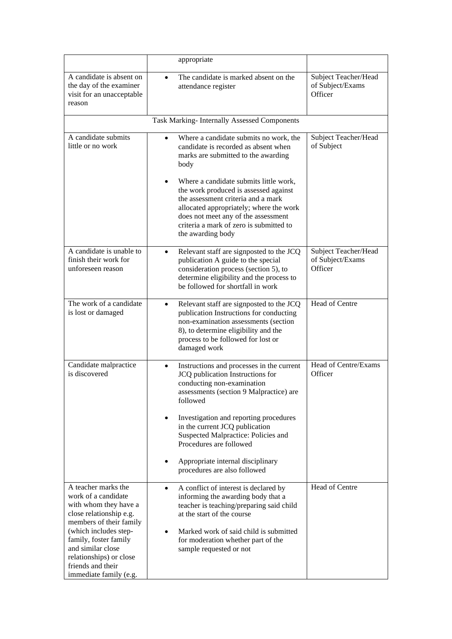|                                                                                                                                                                                                  | appropriate                                                                                                                                                                                                                                                                                                                   |                                                     |
|--------------------------------------------------------------------------------------------------------------------------------------------------------------------------------------------------|-------------------------------------------------------------------------------------------------------------------------------------------------------------------------------------------------------------------------------------------------------------------------------------------------------------------------------|-----------------------------------------------------|
| A candidate is absent on<br>the day of the examiner<br>visit for an unacceptable<br>reason                                                                                                       | The candidate is marked absent on the<br>attendance register                                                                                                                                                                                                                                                                  | Subject Teacher/Head<br>of Subject/Exams<br>Officer |
|                                                                                                                                                                                                  | Task Marking- Internally Assessed Components                                                                                                                                                                                                                                                                                  |                                                     |
| A candidate submits<br>little or no work                                                                                                                                                         | Where a candidate submits no work, the<br>$\bullet$<br>candidate is recorded as absent when<br>marks are submitted to the awarding<br>body                                                                                                                                                                                    | Subject Teacher/Head<br>of Subject                  |
|                                                                                                                                                                                                  | Where a candidate submits little work,<br>the work produced is assessed against<br>the assessment criteria and a mark<br>allocated appropriately; where the work<br>does not meet any of the assessment<br>criteria a mark of zero is submitted to<br>the awarding body                                                       |                                                     |
| A candidate is unable to<br>finish their work for<br>unforeseen reason                                                                                                                           | Relevant staff are signposted to the JCQ<br>٠<br>publication A guide to the special<br>consideration process (section 5), to<br>determine eligibility and the process to<br>be followed for shortfall in work                                                                                                                 | Subject Teacher/Head<br>of Subject/Exams<br>Officer |
| The work of a candidate<br>is lost or damaged                                                                                                                                                    | Relevant staff are signposted to the JCQ<br>$\bullet$<br>publication Instructions for conducting<br>non-examination assessments (section<br>8), to determine eligibility and the<br>process to be followed for lost or<br>damaged work                                                                                        | Head of Centre                                      |
| Candidate malpractice<br>is discovered                                                                                                                                                           | Instructions and processes in the current<br>$\bullet$<br>JCQ publication Instructions for<br>conducting non-examination<br>assessments (section 9 Malpractice) are<br>followed<br>Investigation and reporting procedures<br>in the current JCQ publication<br>Suspected Malpractice: Policies and<br>Procedures are followed | Head of Centre/Exams<br>Officer                     |
|                                                                                                                                                                                                  | Appropriate internal disciplinary<br>procedures are also followed                                                                                                                                                                                                                                                             |                                                     |
| A teacher marks the<br>work of a candidate<br>with whom they have a<br>close relationship e.g.<br>members of their family<br>(which includes step-<br>family, foster family<br>and similar close | A conflict of interest is declared by<br>$\bullet$<br>informing the awarding body that a<br>teacher is teaching/preparing said child<br>at the start of the course<br>Marked work of said child is submitted<br>for moderation whether part of the<br>sample requested or not                                                 | Head of Centre                                      |
| relationships) or close<br>friends and their<br>immediate family (e.g.                                                                                                                           |                                                                                                                                                                                                                                                                                                                               |                                                     |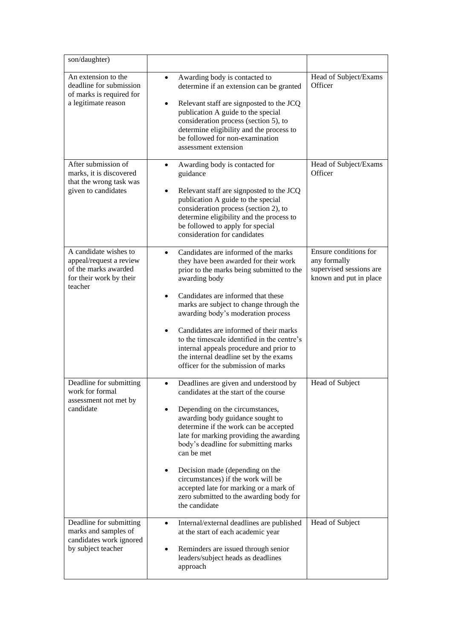| son/daughter)                                                                                                  |                                                                                                                                                                                                                                                                                                                                                                                                                                                                                                           |                                                                                            |
|----------------------------------------------------------------------------------------------------------------|-----------------------------------------------------------------------------------------------------------------------------------------------------------------------------------------------------------------------------------------------------------------------------------------------------------------------------------------------------------------------------------------------------------------------------------------------------------------------------------------------------------|--------------------------------------------------------------------------------------------|
| An extension to the<br>deadline for submission<br>of marks is required for<br>a legitimate reason              | Awarding body is contacted to<br>determine if an extension can be granted<br>Relevant staff are signposted to the JCQ<br>$\bullet$<br>publication A guide to the special<br>consideration process (section 5), to<br>determine eligibility and the process to<br>be followed for non-examination<br>assessment extension                                                                                                                                                                                  | Head of Subject/Exams<br>Officer                                                           |
| After submission of<br>marks, it is discovered<br>that the wrong task was<br>given to candidates               | Awarding body is contacted for<br>guidance<br>Relevant staff are signposted to the JCQ<br>publication A guide to the special<br>consideration process (section 2), to<br>determine eligibility and the process to<br>be followed to apply for special<br>consideration for candidates                                                                                                                                                                                                                     | Head of Subject/Exams<br>Officer                                                           |
| A candidate wishes to<br>appeal/request a review<br>of the marks awarded<br>for their work by their<br>teacher | Candidates are informed of the marks<br>$\bullet$<br>they have been awarded for their work<br>prior to the marks being submitted to the<br>awarding body<br>Candidates are informed that these<br>marks are subject to change through the<br>awarding body's moderation process<br>Candidates are informed of their marks<br>٠<br>to the timescale identified in the centre's<br>internal appeals procedure and prior to<br>the internal deadline set by the exams<br>officer for the submission of marks | Ensure conditions for<br>any formally<br>supervised sessions are<br>known and put in place |
| Deadline for submitting<br>work for formal<br>assessment not met by<br>candidate                               | Deadlines are given and understood by<br>candidates at the start of the course<br>Depending on the circumstances,<br>awarding body guidance sought to<br>determine if the work can be accepted<br>late for marking providing the awarding<br>body's deadline for submitting marks<br>can be met<br>Decision made (depending on the<br>circumstances) if the work will be<br>accepted late for marking or a mark of<br>zero submitted to the awarding body for<br>the candidate                            | Head of Subject                                                                            |
| Deadline for submitting<br>marks and samples of<br>candidates work ignored<br>by subject teacher               | Internal/external deadlines are published<br>at the start of each academic year<br>Reminders are issued through senior<br>leaders/subject heads as deadlines<br>approach                                                                                                                                                                                                                                                                                                                                  | Head of Subject                                                                            |